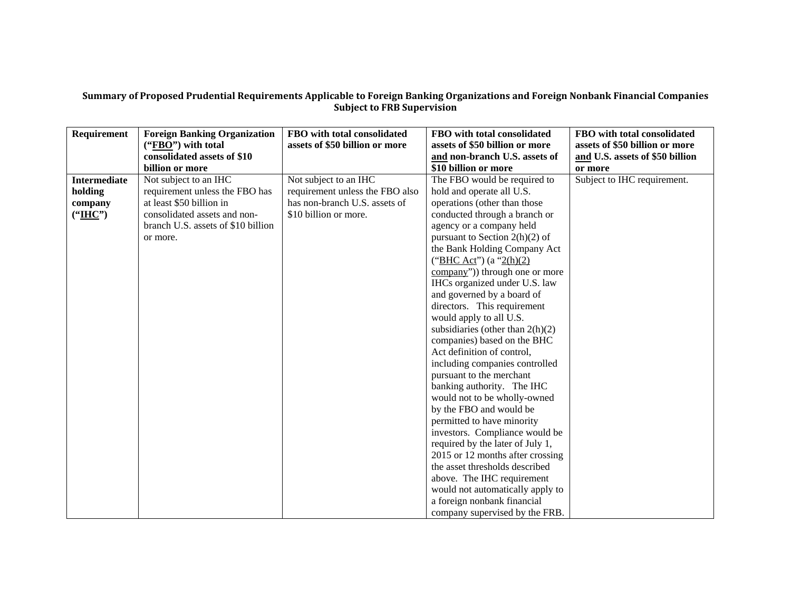## Summary of Proposed Prudential Requirements Applicable to Foreign Banking Organizations and Foreign Nonbank Financial Companies **Subject to FRB Supervision**

| Requirement         | <b>Foreign Banking Organization</b> | FBO with total consolidated     | FBO with total consolidated          | FBO with total consolidated     |
|---------------------|-------------------------------------|---------------------------------|--------------------------------------|---------------------------------|
|                     | ("FBO") with total                  | assets of \$50 billion or more  | assets of \$50 billion or more       | assets of \$50 billion or more  |
|                     | consolidated assets of \$10         |                                 | and non-branch U.S. assets of        | and U.S. assets of \$50 billion |
|                     | billion or more                     |                                 | \$10 billion or more                 | or more                         |
| <b>Intermediate</b> | Not subject to an IHC               | Not subject to an IHC           | The FBO would be required to         | Subject to IHC requirement.     |
| holding             | requirement unless the FBO has      | requirement unless the FBO also | hold and operate all U.S.            |                                 |
| company             | at least \$50 billion in            | has non-branch U.S. assets of   | operations (other than those         |                                 |
| (" <u>IHC</u> ")    | consolidated assets and non-        | \$10 billion or more.           | conducted through a branch or        |                                 |
|                     | branch U.S. assets of \$10 billion  |                                 | agency or a company held             |                                 |
|                     | or more.                            |                                 | pursuant to Section $2(h)(2)$ of     |                                 |
|                     |                                     |                                 | the Bank Holding Company Act         |                                 |
|                     |                                     |                                 | ("BHC Act") $(a "2(h)(2))$           |                                 |
|                     |                                     |                                 | company")) through one or more       |                                 |
|                     |                                     |                                 | IHCs organized under U.S. law        |                                 |
|                     |                                     |                                 | and governed by a board of           |                                 |
|                     |                                     |                                 | directors. This requirement          |                                 |
|                     |                                     |                                 | would apply to all U.S.              |                                 |
|                     |                                     |                                 | subsidiaries (other than $2(h)(2)$ ) |                                 |
|                     |                                     |                                 | companies) based on the BHC          |                                 |
|                     |                                     |                                 | Act definition of control,           |                                 |
|                     |                                     |                                 | including companies controlled       |                                 |
|                     |                                     |                                 | pursuant to the merchant             |                                 |
|                     |                                     |                                 | banking authority. The IHC           |                                 |
|                     |                                     |                                 | would not to be wholly-owned         |                                 |
|                     |                                     |                                 | by the FBO and would be              |                                 |
|                     |                                     |                                 | permitted to have minority           |                                 |
|                     |                                     |                                 | investors. Compliance would be       |                                 |
|                     |                                     |                                 | required by the later of July 1,     |                                 |
|                     |                                     |                                 | 2015 or 12 months after crossing     |                                 |
|                     |                                     |                                 | the asset thresholds described       |                                 |
|                     |                                     |                                 | above. The IHC requirement           |                                 |
|                     |                                     |                                 | would not automatically apply to     |                                 |
|                     |                                     |                                 | a foreign nonbank financial          |                                 |
|                     |                                     |                                 | company supervised by the FRB.       |                                 |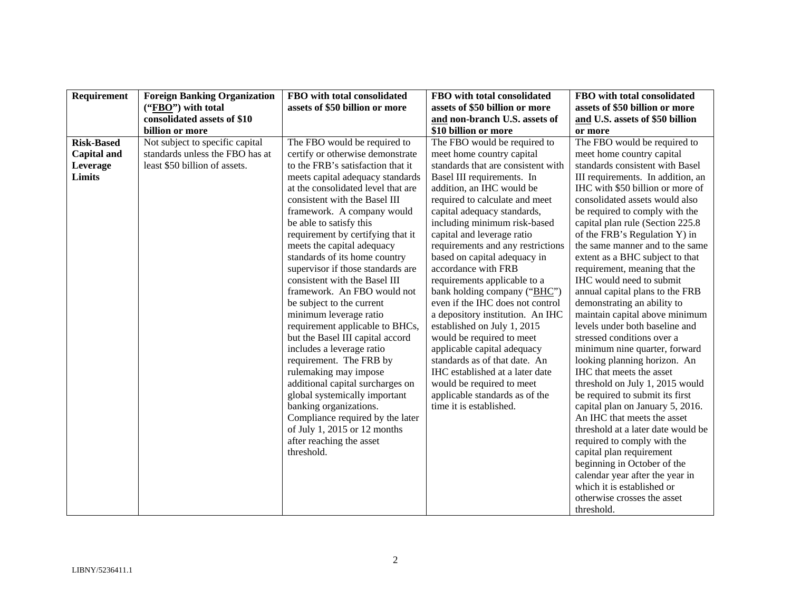| Requirement        | <b>Foreign Banking Organization</b> | FBO with total consolidated        | FBO with total consolidated        | FBO with total consolidated                                   |
|--------------------|-------------------------------------|------------------------------------|------------------------------------|---------------------------------------------------------------|
|                    | ("FBO") with total                  | assets of \$50 billion or more     | assets of \$50 billion or more     | assets of \$50 billion or more                                |
|                    | consolidated assets of \$10         |                                    | and non-branch U.S. assets of      | and U.S. assets of \$50 billion                               |
|                    | billion or more                     |                                    | \$10 billion or more               | or more                                                       |
| <b>Risk-Based</b>  | Not subject to specific capital     | The FBO would be required to       | The FBO would be required to       | The FBO would be required to                                  |
| <b>Capital and</b> | standards unless the FBO has at     | certify or otherwise demonstrate   | meet home country capital          | meet home country capital                                     |
| Leverage           | least \$50 billion of assets.       | to the FRB's satisfaction that it  | standards that are consistent with | standards consistent with Basel                               |
| Limits             |                                     | meets capital adequacy standards   | Basel III requirements. In         | III requirements. In addition, an                             |
|                    |                                     | at the consolidated level that are | addition, an IHC would be          | IHC with \$50 billion or more of                              |
|                    |                                     | consistent with the Basel III      | required to calculate and meet     | consolidated assets would also                                |
|                    |                                     | framework. A company would         | capital adequacy standards,        | be required to comply with the                                |
|                    |                                     | be able to satisfy this            | including minimum risk-based       | capital plan rule (Section 225.8)                             |
|                    |                                     | requirement by certifying that it  | capital and leverage ratio         | of the FRB's Regulation Y) in                                 |
|                    |                                     | meets the capital adequacy         | requirements and any restrictions  | the same manner and to the same                               |
|                    |                                     | standards of its home country      | based on capital adequacy in       | extent as a BHC subject to that                               |
|                    |                                     | supervisor if those standards are  | accordance with FRB                | requirement, meaning that the                                 |
|                    |                                     | consistent with the Basel III      | requirements applicable to a       | IHC would need to submit                                      |
|                    |                                     | framework. An FBO would not        | bank holding company ("BHC")       | annual capital plans to the FRB                               |
|                    |                                     | be subject to the current          | even if the IHC does not control   | demonstrating an ability to                                   |
|                    |                                     | minimum leverage ratio             | a depository institution. An IHC   | maintain capital above minimum                                |
|                    |                                     | requirement applicable to BHCs,    | established on July 1, 2015        | levels under both baseline and                                |
|                    |                                     | but the Basel III capital accord   | would be required to meet          | stressed conditions over a                                    |
|                    |                                     | includes a leverage ratio          | applicable capital adequacy        | minimum nine quarter, forward                                 |
|                    |                                     | requirement. The FRB by            | standards as of that date. An      | looking planning horizon. An                                  |
|                    |                                     | rulemaking may impose              | IHC established at a later date    | IHC that meets the asset                                      |
|                    |                                     | additional capital surcharges on   | would be required to meet          | threshold on July 1, 2015 would                               |
|                    |                                     | global systemically important      | applicable standards as of the     | be required to submit its first                               |
|                    |                                     | banking organizations.             | time it is established.            | capital plan on January 5, 2016.                              |
|                    |                                     | Compliance required by the later   |                                    | An IHC that meets the asset                                   |
|                    |                                     | of July 1, 2015 or 12 months       |                                    | threshold at a later date would be                            |
|                    |                                     | after reaching the asset           |                                    | required to comply with the                                   |
|                    |                                     | threshold.                         |                                    | capital plan requirement                                      |
|                    |                                     |                                    |                                    | beginning in October of the                                   |
|                    |                                     |                                    |                                    | calendar year after the year in<br>which it is established or |
|                    |                                     |                                    |                                    |                                                               |
|                    |                                     |                                    |                                    | otherwise crosses the asset                                   |
|                    |                                     |                                    |                                    | threshold.                                                    |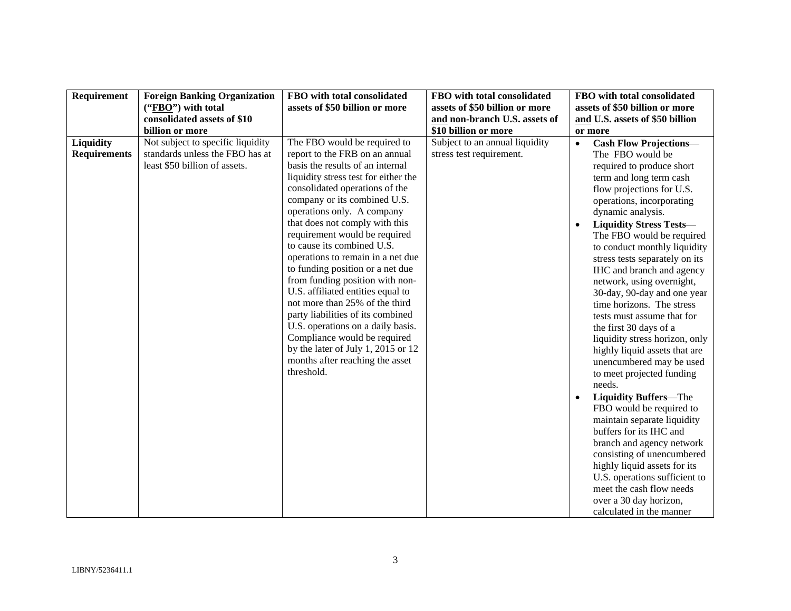| Requirement         | <b>Foreign Banking Organization</b> | FBO with total consolidated          | FBO with total consolidated    | FBO with total consolidated                |
|---------------------|-------------------------------------|--------------------------------------|--------------------------------|--------------------------------------------|
|                     | ("FBO") with total                  | assets of \$50 billion or more       | assets of \$50 billion or more | assets of \$50 billion or more             |
|                     | consolidated assets of \$10         |                                      | and non-branch U.S. assets of  | and U.S. assets of \$50 billion            |
|                     | billion or more                     |                                      | \$10 billion or more           | or more                                    |
| Liquidity           | Not subject to specific liquidity   | The FBO would be required to         | Subject to an annual liquidity | <b>Cash Flow Projections-</b><br>$\bullet$ |
| <b>Requirements</b> | standards unless the FBO has at     | report to the FRB on an annual       | stress test requirement.       | The FBO would be                           |
|                     | least \$50 billion of assets.       | basis the results of an internal     |                                | required to produce short                  |
|                     |                                     | liquidity stress test for either the |                                | term and long term cash                    |
|                     |                                     | consolidated operations of the       |                                | flow projections for U.S.                  |
|                     |                                     | company or its combined U.S.         |                                | operations, incorporating                  |
|                     |                                     | operations only. A company           |                                | dynamic analysis.                          |
|                     |                                     | that does not comply with this       |                                | <b>Liquidity Stress Tests-</b>             |
|                     |                                     | requirement would be required        |                                | The FBO would be required                  |
|                     |                                     | to cause its combined U.S.           |                                | to conduct monthly liquidity               |
|                     |                                     | operations to remain in a net due    |                                | stress tests separately on its             |
|                     |                                     | to funding position or a net due     |                                | IHC and branch and agency                  |
|                     |                                     | from funding position with non-      |                                | network, using overnight,                  |
|                     |                                     | U.S. affiliated entities equal to    |                                | 30-day, 90-day and one year                |
|                     |                                     | not more than 25% of the third       |                                | time horizons. The stress                  |
|                     |                                     | party liabilities of its combined    |                                | tests must assume that for                 |
|                     |                                     | U.S. operations on a daily basis.    |                                | the first 30 days of a                     |
|                     |                                     | Compliance would be required         |                                | liquidity stress horizon, only             |
|                     |                                     | by the later of July 1, 2015 or $12$ |                                | highly liquid assets that are              |
|                     |                                     | months after reaching the asset      |                                | unencumbered may be used                   |
|                     |                                     | threshold.                           |                                | to meet projected funding                  |
|                     |                                     |                                      |                                | needs.                                     |
|                     |                                     |                                      |                                | <b>Liquidity Buffers-The</b>               |
|                     |                                     |                                      |                                | FBO would be required to                   |
|                     |                                     |                                      |                                | maintain separate liquidity                |
|                     |                                     |                                      |                                | buffers for its IHC and                    |
|                     |                                     |                                      |                                | branch and agency network                  |
|                     |                                     |                                      |                                | consisting of unencumbered                 |
|                     |                                     |                                      |                                | highly liquid assets for its               |
|                     |                                     |                                      |                                | U.S. operations sufficient to              |
|                     |                                     |                                      |                                | meet the cash flow needs                   |
|                     |                                     |                                      |                                | over a 30 day horizon,                     |
|                     |                                     |                                      |                                | calculated in the manner                   |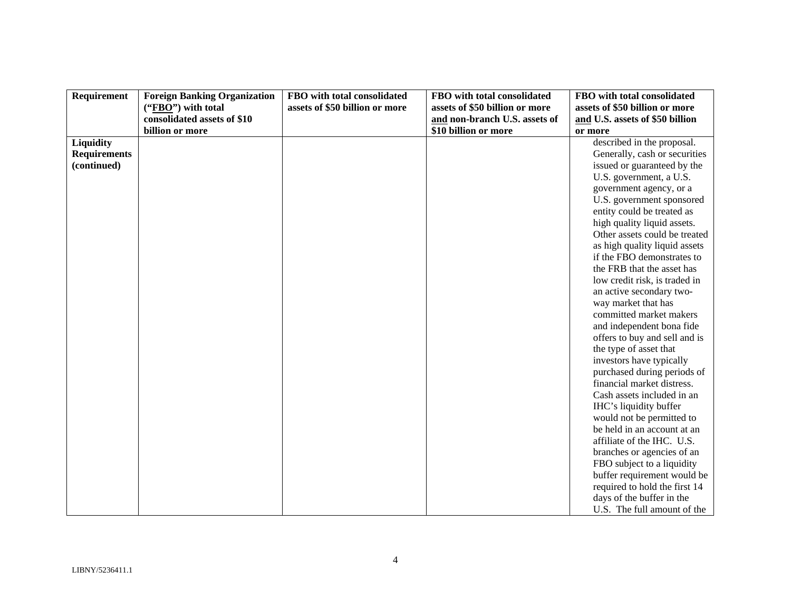| Requirement         | <b>Foreign Banking Organization</b> | FBO with total consolidated    | FBO with total consolidated    | FBO with total consolidated     |
|---------------------|-------------------------------------|--------------------------------|--------------------------------|---------------------------------|
|                     | ("FBO") with total                  | assets of \$50 billion or more | assets of \$50 billion or more | assets of \$50 billion or more  |
|                     | consolidated assets of \$10         |                                | and non-branch U.S. assets of  | and U.S. assets of \$50 billion |
|                     | billion or more                     |                                | \$10 billion or more           | or more                         |
| Liquidity           |                                     |                                |                                | described in the proposal.      |
| <b>Requirements</b> |                                     |                                |                                | Generally, cash or securities   |
| (continued)         |                                     |                                |                                | issued or guaranteed by the     |
|                     |                                     |                                |                                | U.S. government, a U.S.         |
|                     |                                     |                                |                                | government agency, or a         |
|                     |                                     |                                |                                | U.S. government sponsored       |
|                     |                                     |                                |                                | entity could be treated as      |
|                     |                                     |                                |                                | high quality liquid assets.     |
|                     |                                     |                                |                                | Other assets could be treated   |
|                     |                                     |                                |                                | as high quality liquid assets   |
|                     |                                     |                                |                                | if the FBO demonstrates to      |
|                     |                                     |                                |                                | the FRB that the asset has      |
|                     |                                     |                                |                                | low credit risk, is traded in   |
|                     |                                     |                                |                                | an active secondary two-        |
|                     |                                     |                                |                                | way market that has             |
|                     |                                     |                                |                                | committed market makers         |
|                     |                                     |                                |                                | and independent bona fide       |
|                     |                                     |                                |                                | offers to buy and sell and is   |
|                     |                                     |                                |                                | the type of asset that          |
|                     |                                     |                                |                                | investors have typically        |
|                     |                                     |                                |                                | purchased during periods of     |
|                     |                                     |                                |                                | financial market distress.      |
|                     |                                     |                                |                                | Cash assets included in an      |
|                     |                                     |                                |                                | IHC's liquidity buffer          |
|                     |                                     |                                |                                | would not be permitted to       |
|                     |                                     |                                |                                | be held in an account at an     |
|                     |                                     |                                |                                | affiliate of the IHC. U.S.      |
|                     |                                     |                                |                                | branches or agencies of an      |
|                     |                                     |                                |                                | FBO subject to a liquidity      |
|                     |                                     |                                |                                | buffer requirement would be     |
|                     |                                     |                                |                                | required to hold the first 14   |
|                     |                                     |                                |                                | days of the buffer in the       |
|                     |                                     |                                |                                | U.S. The full amount of the     |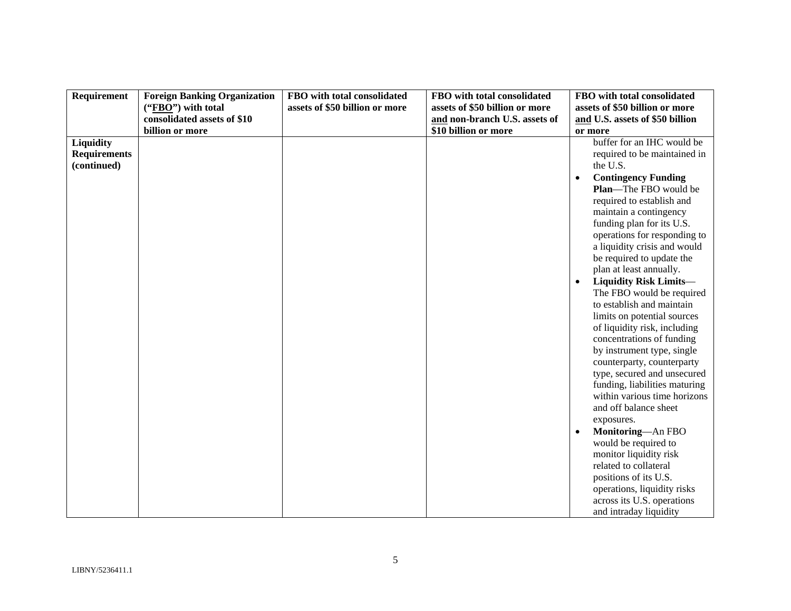| Requirement                                     | <b>Foreign Banking Organization</b> | FBO with total consolidated    | FBO with total consolidated    | FBO with total consolidated                                                                                                                                                                                                                                                                                                                                                                                                                                                                                                                                                                                                                                                                                                                                                                                                                                                                                                                                      |
|-------------------------------------------------|-------------------------------------|--------------------------------|--------------------------------|------------------------------------------------------------------------------------------------------------------------------------------------------------------------------------------------------------------------------------------------------------------------------------------------------------------------------------------------------------------------------------------------------------------------------------------------------------------------------------------------------------------------------------------------------------------------------------------------------------------------------------------------------------------------------------------------------------------------------------------------------------------------------------------------------------------------------------------------------------------------------------------------------------------------------------------------------------------|
|                                                 | $("FBO")$ with total                | assets of \$50 billion or more | assets of \$50 billion or more | assets of \$50 billion or more                                                                                                                                                                                                                                                                                                                                                                                                                                                                                                                                                                                                                                                                                                                                                                                                                                                                                                                                   |
|                                                 | consolidated assets of \$10         |                                | and non-branch U.S. assets of  | and U.S. assets of \$50 billion                                                                                                                                                                                                                                                                                                                                                                                                                                                                                                                                                                                                                                                                                                                                                                                                                                                                                                                                  |
|                                                 | billion or more                     |                                | \$10 billion or more           | or more                                                                                                                                                                                                                                                                                                                                                                                                                                                                                                                                                                                                                                                                                                                                                                                                                                                                                                                                                          |
| Liquidity<br><b>Requirements</b><br>(continued) |                                     |                                |                                | buffer for an IHC would be<br>required to be maintained in<br>the U.S.<br><b>Contingency Funding</b><br>$\bullet$<br>Plan-The FBO would be<br>required to establish and<br>maintain a contingency<br>funding plan for its U.S.<br>operations for responding to<br>a liquidity crisis and would<br>be required to update the<br>plan at least annually.<br><b>Liquidity Risk Limits-</b><br>The FBO would be required<br>to establish and maintain<br>limits on potential sources<br>of liquidity risk, including<br>concentrations of funding<br>by instrument type, single<br>counterparty, counterparty<br>type, secured and unsecured<br>funding, liabilities maturing<br>within various time horizons<br>and off balance sheet<br>exposures.<br>Monitoring-An FBO<br>would be required to<br>monitor liquidity risk<br>related to collateral<br>positions of its U.S.<br>operations, liquidity risks<br>across its U.S. operations<br>and intraday liquidity |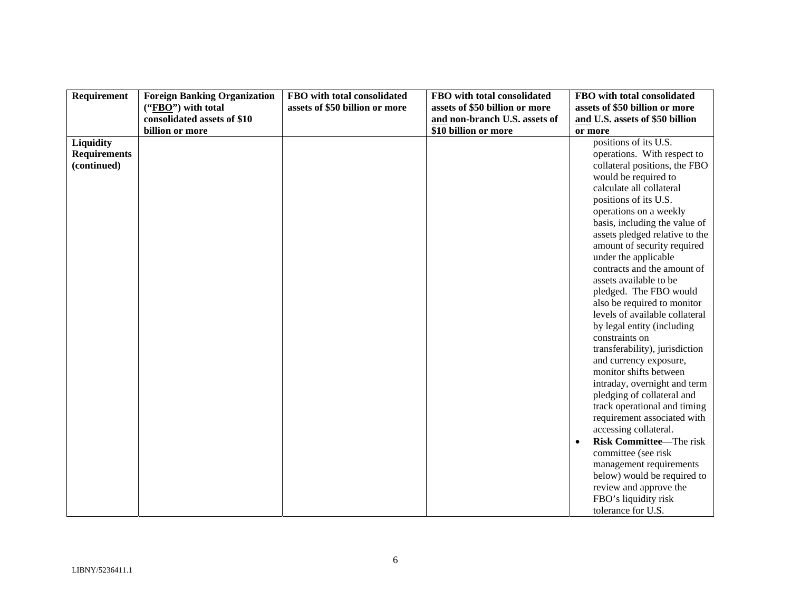| Requirement         | <b>Foreign Banking Organization</b> | FBO with total consolidated    | FBO with total consolidated    | FBO with total consolidated                    |
|---------------------|-------------------------------------|--------------------------------|--------------------------------|------------------------------------------------|
|                     | ("FBO") with total                  | assets of \$50 billion or more | assets of \$50 billion or more | assets of \$50 billion or more                 |
|                     | consolidated assets of \$10         |                                | and non-branch U.S. assets of  | and U.S. assets of \$50 billion                |
|                     | billion or more                     |                                | \$10 billion or more           | or more                                        |
| Liquidity           |                                     |                                |                                | positions of its U.S.                          |
| <b>Requirements</b> |                                     |                                |                                | operations. With respect to                    |
| (continued)         |                                     |                                |                                | collateral positions, the FBO                  |
|                     |                                     |                                |                                | would be required to                           |
|                     |                                     |                                |                                | calculate all collateral                       |
|                     |                                     |                                |                                | positions of its U.S.                          |
|                     |                                     |                                |                                | operations on a weekly                         |
|                     |                                     |                                |                                | basis, including the value of                  |
|                     |                                     |                                |                                | assets pledged relative to the                 |
|                     |                                     |                                |                                | amount of security required                    |
|                     |                                     |                                |                                | under the applicable                           |
|                     |                                     |                                |                                | contracts and the amount of                    |
|                     |                                     |                                |                                | assets available to be                         |
|                     |                                     |                                |                                | pledged. The FBO would                         |
|                     |                                     |                                |                                | also be required to monitor                    |
|                     |                                     |                                |                                | levels of available collateral                 |
|                     |                                     |                                |                                | by legal entity (including                     |
|                     |                                     |                                |                                | constraints on                                 |
|                     |                                     |                                |                                | transferability), jurisdiction                 |
|                     |                                     |                                |                                | and currency exposure,                         |
|                     |                                     |                                |                                | monitor shifts between                         |
|                     |                                     |                                |                                | intraday, overnight and term                   |
|                     |                                     |                                |                                | pledging of collateral and                     |
|                     |                                     |                                |                                | track operational and timing                   |
|                     |                                     |                                |                                | requirement associated with                    |
|                     |                                     |                                |                                | accessing collateral.                          |
|                     |                                     |                                |                                | Risk Committee-The risk                        |
|                     |                                     |                                |                                | committee (see risk                            |
|                     |                                     |                                |                                | management requirements                        |
|                     |                                     |                                |                                | below) would be required to                    |
|                     |                                     |                                |                                | review and approve the<br>FBO's liquidity risk |
|                     |                                     |                                |                                | tolerance for U.S.                             |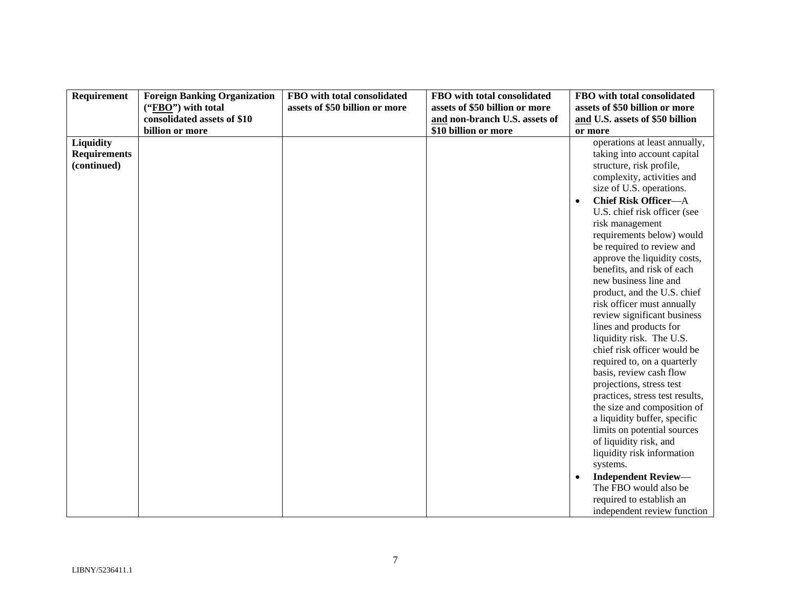| Requirement<br>FBO with total consolidated<br>FBO with total consolidated<br>FBO with total consolidated<br><b>Foreign Banking Organization</b>                                                                                                                                                                                                                                                                                                                                                                                                                                                                                                                                                                                                                                                                                                                                                                                                                                          |                          |
|------------------------------------------------------------------------------------------------------------------------------------------------------------------------------------------------------------------------------------------------------------------------------------------------------------------------------------------------------------------------------------------------------------------------------------------------------------------------------------------------------------------------------------------------------------------------------------------------------------------------------------------------------------------------------------------------------------------------------------------------------------------------------------------------------------------------------------------------------------------------------------------------------------------------------------------------------------------------------------------|--------------------------|
| assets of \$50 billion or more<br>assets of \$50 billion or more<br>assets of \$50 billion or more<br>("FBO") with total                                                                                                                                                                                                                                                                                                                                                                                                                                                                                                                                                                                                                                                                                                                                                                                                                                                                 |                          |
| consolidated assets of \$10<br>and non-branch U.S. assets of<br>and U.S. assets of \$50 billion                                                                                                                                                                                                                                                                                                                                                                                                                                                                                                                                                                                                                                                                                                                                                                                                                                                                                          |                          |
| billion or more<br>\$10 billion or more<br>or more                                                                                                                                                                                                                                                                                                                                                                                                                                                                                                                                                                                                                                                                                                                                                                                                                                                                                                                                       |                          |
| Liquidity<br>operations at least annually,<br><b>Requirements</b><br>taking into account capital<br>structure, risk profile,<br>(continued)<br>complexity, activities and<br>size of U.S. operations.<br><b>Chief Risk Officer-A</b><br>$\bullet$<br>U.S. chief risk officer (see<br>risk management<br>requirements below) would<br>be required to review and<br>approve the liquidity costs,<br>benefits, and risk of each<br>new business line and<br>product, and the U.S. chief<br>risk officer must annually<br>review significant business<br>lines and products for<br>liquidity risk. The U.S.<br>chief risk officer would be<br>required to, on a quarterly<br>basis, review cash flow<br>projections, stress test<br>practices, stress test results,<br>the size and composition of<br>a liquidity buffer, specific<br>limits on potential sources<br>of liquidity risk, and<br>liquidity risk information<br>systems.<br><b>Independent Review-</b><br>The FBO would also be | required to establish an |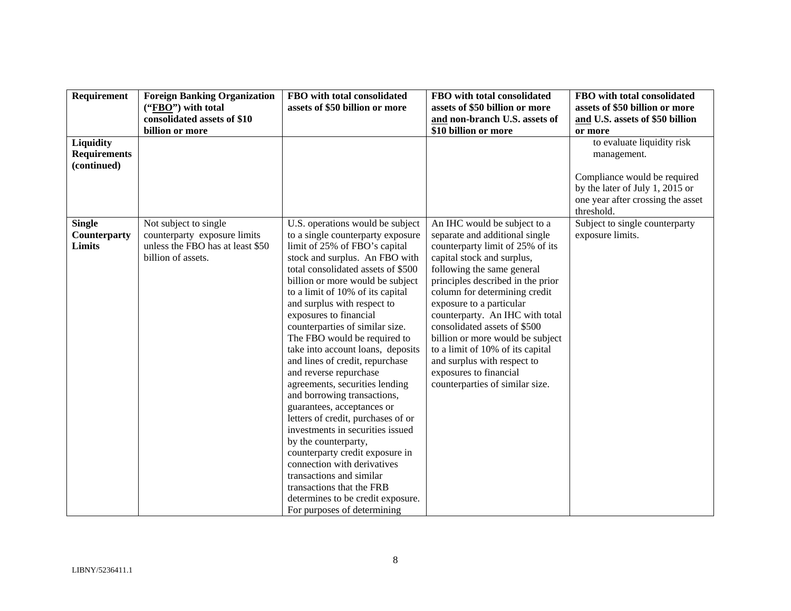| Requirement                                     | <b>Foreign Banking Organization</b>                                                                             | FBO with total consolidated                                                                                                                                                                                                                                                                                                                                                                                                                                                                                                                                                                                                                                                                                                                                                                                                                                                          | FBO with total consolidated                                                                                                                                                                                                                                                                                                                                                                                                                                                                             | FBO with total consolidated                                                                                        |
|-------------------------------------------------|-----------------------------------------------------------------------------------------------------------------|--------------------------------------------------------------------------------------------------------------------------------------------------------------------------------------------------------------------------------------------------------------------------------------------------------------------------------------------------------------------------------------------------------------------------------------------------------------------------------------------------------------------------------------------------------------------------------------------------------------------------------------------------------------------------------------------------------------------------------------------------------------------------------------------------------------------------------------------------------------------------------------|---------------------------------------------------------------------------------------------------------------------------------------------------------------------------------------------------------------------------------------------------------------------------------------------------------------------------------------------------------------------------------------------------------------------------------------------------------------------------------------------------------|--------------------------------------------------------------------------------------------------------------------|
|                                                 | ("FBO") with total                                                                                              | assets of \$50 billion or more                                                                                                                                                                                                                                                                                                                                                                                                                                                                                                                                                                                                                                                                                                                                                                                                                                                       | assets of \$50 billion or more                                                                                                                                                                                                                                                                                                                                                                                                                                                                          | assets of \$50 billion or more                                                                                     |
|                                                 | consolidated assets of \$10                                                                                     |                                                                                                                                                                                                                                                                                                                                                                                                                                                                                                                                                                                                                                                                                                                                                                                                                                                                                      | and non-branch U.S. assets of                                                                                                                                                                                                                                                                                                                                                                                                                                                                           | and U.S. assets of \$50 billion                                                                                    |
|                                                 | billion or more                                                                                                 |                                                                                                                                                                                                                                                                                                                                                                                                                                                                                                                                                                                                                                                                                                                                                                                                                                                                                      | \$10 billion or more                                                                                                                                                                                                                                                                                                                                                                                                                                                                                    | or more                                                                                                            |
| Liquidity<br><b>Requirements</b><br>(continued) |                                                                                                                 |                                                                                                                                                                                                                                                                                                                                                                                                                                                                                                                                                                                                                                                                                                                                                                                                                                                                                      |                                                                                                                                                                                                                                                                                                                                                                                                                                                                                                         | to evaluate liquidity risk<br>management.                                                                          |
|                                                 |                                                                                                                 |                                                                                                                                                                                                                                                                                                                                                                                                                                                                                                                                                                                                                                                                                                                                                                                                                                                                                      |                                                                                                                                                                                                                                                                                                                                                                                                                                                                                                         | Compliance would be required<br>by the later of July 1, 2015 or<br>one year after crossing the asset<br>threshold. |
| <b>Single</b><br>Counterparty<br>Limits         | Not subject to single<br>counterparty exposure limits<br>unless the FBO has at least \$50<br>billion of assets. | U.S. operations would be subject<br>to a single counterparty exposure<br>limit of 25% of FBO's capital<br>stock and surplus. An FBO with<br>total consolidated assets of \$500<br>billion or more would be subject<br>to a limit of 10% of its capital<br>and surplus with respect to<br>exposures to financial<br>counterparties of similar size.<br>The FBO would be required to<br>take into account loans, deposits<br>and lines of credit, repurchase<br>and reverse repurchase<br>agreements, securities lending<br>and borrowing transactions,<br>guarantees, acceptances or<br>letters of credit, purchases of or<br>investments in securities issued<br>by the counterparty,<br>counterparty credit exposure in<br>connection with derivatives<br>transactions and similar<br>transactions that the FRB<br>determines to be credit exposure.<br>For purposes of determining | An IHC would be subject to a<br>separate and additional single<br>counterparty limit of 25% of its<br>capital stock and surplus,<br>following the same general<br>principles described in the prior<br>column for determining credit<br>exposure to a particular<br>counterparty. An IHC with total<br>consolidated assets of \$500<br>billion or more would be subject<br>to a limit of 10% of its capital<br>and surplus with respect to<br>exposures to financial<br>counterparties of similar size. | Subject to single counterparty<br>exposure limits.                                                                 |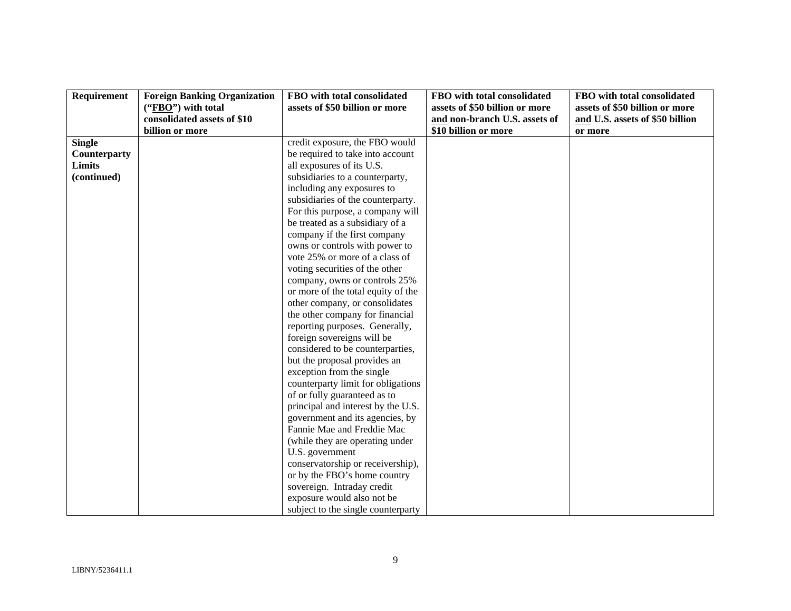| Requirement   | <b>Foreign Banking Organization</b> | FBO with total consolidated        | FBO with total consolidated    | FBO with total consolidated     |
|---------------|-------------------------------------|------------------------------------|--------------------------------|---------------------------------|
|               | $("FBO")$ with total                | assets of \$50 billion or more     | assets of \$50 billion or more | assets of \$50 billion or more  |
|               | consolidated assets of \$10         |                                    | and non-branch U.S. assets of  | and U.S. assets of \$50 billion |
|               | billion or more                     |                                    | \$10 billion or more           | or more                         |
| <b>Single</b> |                                     | credit exposure, the FBO would     |                                |                                 |
| Counterparty  |                                     | be required to take into account   |                                |                                 |
| <b>Limits</b> |                                     | all exposures of its U.S.          |                                |                                 |
| (continued)   |                                     | subsidiaries to a counterparty,    |                                |                                 |
|               |                                     | including any exposures to         |                                |                                 |
|               |                                     | subsidiaries of the counterparty.  |                                |                                 |
|               |                                     | For this purpose, a company will   |                                |                                 |
|               |                                     | be treated as a subsidiary of a    |                                |                                 |
|               |                                     | company if the first company       |                                |                                 |
|               |                                     | owns or controls with power to     |                                |                                 |
|               |                                     | vote 25% or more of a class of     |                                |                                 |
|               |                                     | voting securities of the other     |                                |                                 |
|               |                                     | company, owns or controls 25%      |                                |                                 |
|               |                                     | or more of the total equity of the |                                |                                 |
|               |                                     | other company, or consolidates     |                                |                                 |
|               |                                     | the other company for financial    |                                |                                 |
|               |                                     | reporting purposes. Generally,     |                                |                                 |
|               |                                     | foreign sovereigns will be         |                                |                                 |
|               |                                     | considered to be counterparties,   |                                |                                 |
|               |                                     | but the proposal provides an       |                                |                                 |
|               |                                     | exception from the single          |                                |                                 |
|               |                                     | counterparty limit for obligations |                                |                                 |
|               |                                     | of or fully guaranteed as to       |                                |                                 |
|               |                                     | principal and interest by the U.S. |                                |                                 |
|               |                                     | government and its agencies, by    |                                |                                 |
|               |                                     | Fannie Mae and Freddie Mac         |                                |                                 |
|               |                                     | (while they are operating under    |                                |                                 |
|               |                                     | U.S. government                    |                                |                                 |
|               |                                     | conservatorship or receivership),  |                                |                                 |
|               |                                     | or by the FBO's home country       |                                |                                 |
|               |                                     | sovereign. Intraday credit         |                                |                                 |
|               |                                     | exposure would also not be         |                                |                                 |
|               |                                     | subject to the single counterparty |                                |                                 |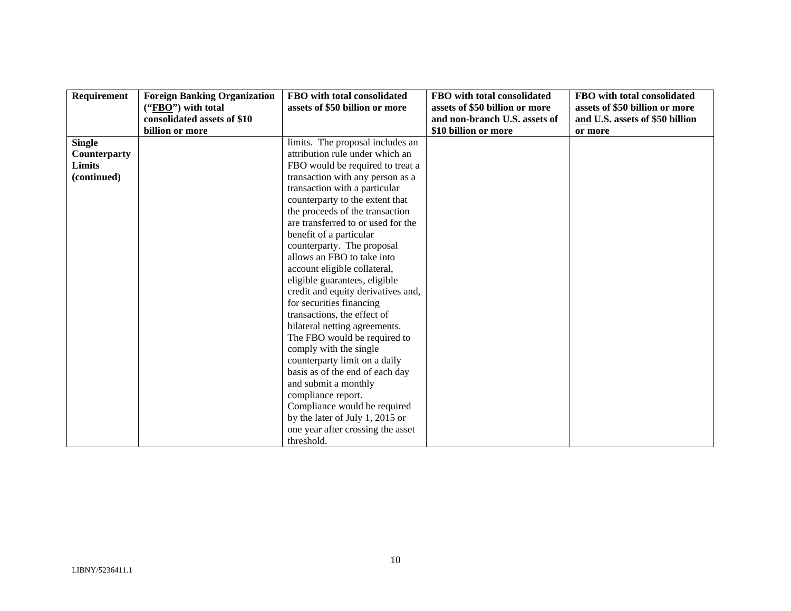| Requirement   | <b>Foreign Banking Organization</b> | FBO with total consolidated        | FBO with total consolidated    | FBO with total consolidated     |
|---------------|-------------------------------------|------------------------------------|--------------------------------|---------------------------------|
|               | $("FBO")$ with total                | assets of \$50 billion or more     | assets of \$50 billion or more | assets of \$50 billion or more  |
|               | consolidated assets of \$10         |                                    | and non-branch U.S. assets of  | and U.S. assets of \$50 billion |
|               | billion or more                     |                                    | \$10 billion or more           | or more                         |
| <b>Single</b> |                                     | limits. The proposal includes an   |                                |                                 |
| Counterparty  |                                     | attribution rule under which an    |                                |                                 |
| Limits        |                                     | FBO would be required to treat a   |                                |                                 |
| (continued)   |                                     | transaction with any person as a   |                                |                                 |
|               |                                     | transaction with a particular      |                                |                                 |
|               |                                     | counterparty to the extent that    |                                |                                 |
|               |                                     | the proceeds of the transaction    |                                |                                 |
|               |                                     | are transferred to or used for the |                                |                                 |
|               |                                     | benefit of a particular            |                                |                                 |
|               |                                     | counterparty. The proposal         |                                |                                 |
|               |                                     | allows an FBO to take into         |                                |                                 |
|               |                                     | account eligible collateral,       |                                |                                 |
|               |                                     | eligible guarantees, eligible      |                                |                                 |
|               |                                     | credit and equity derivatives and, |                                |                                 |
|               |                                     | for securities financing           |                                |                                 |
|               |                                     | transactions, the effect of        |                                |                                 |
|               |                                     | bilateral netting agreements.      |                                |                                 |
|               |                                     | The FBO would be required to       |                                |                                 |
|               |                                     | comply with the single             |                                |                                 |
|               |                                     | counterparty limit on a daily      |                                |                                 |
|               |                                     | basis as of the end of each day    |                                |                                 |
|               |                                     | and submit a monthly               |                                |                                 |
|               |                                     | compliance report.                 |                                |                                 |
|               |                                     | Compliance would be required       |                                |                                 |
|               |                                     | by the later of July 1, 2015 or    |                                |                                 |
|               |                                     | one year after crossing the asset  |                                |                                 |
|               |                                     | threshold.                         |                                |                                 |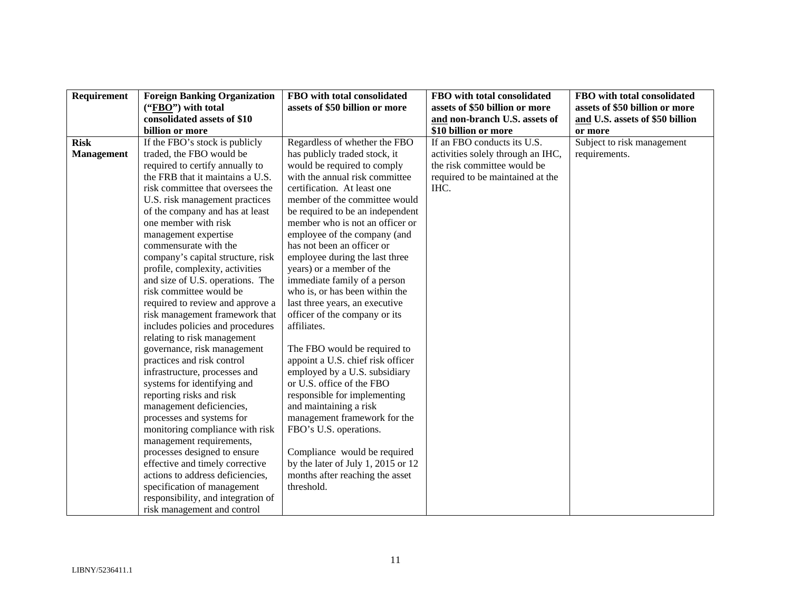| Requirement       | <b>Foreign Banking Organization</b>                                 | FBO with total consolidated        | FBO with total consolidated       | FBO with total consolidated     |
|-------------------|---------------------------------------------------------------------|------------------------------------|-----------------------------------|---------------------------------|
|                   | ("FBO") with total                                                  | assets of \$50 billion or more     | assets of \$50 billion or more    | assets of \$50 billion or more  |
|                   | consolidated assets of \$10                                         |                                    | and non-branch U.S. assets of     | and U.S. assets of \$50 billion |
|                   | billion or more                                                     |                                    | \$10 billion or more              | or more                         |
| <b>Risk</b>       | If the FBO's stock is publicly                                      | Regardless of whether the FBO      | If an FBO conducts its U.S.       | Subject to risk management      |
| <b>Management</b> | traded, the FBO would be                                            | has publicly traded stock, it      | activities solely through an IHC, | requirements.                   |
|                   | required to certify annually to                                     | would be required to comply        | the risk committee would be       |                                 |
|                   | the FRB that it maintains a U.S.                                    | with the annual risk committee     | required to be maintained at the  |                                 |
|                   | risk committee that oversees the                                    | certification. At least one        | IHC.                              |                                 |
|                   | U.S. risk management practices                                      | member of the committee would      |                                   |                                 |
|                   | of the company and has at least                                     | be required to be an independent   |                                   |                                 |
|                   | one member with risk                                                | member who is not an officer or    |                                   |                                 |
|                   | management expertise                                                | employee of the company (and       |                                   |                                 |
|                   | commensurate with the                                               | has not been an officer or         |                                   |                                 |
|                   | company's capital structure, risk                                   | employee during the last three     |                                   |                                 |
|                   | profile, complexity, activities                                     | years) or a member of the          |                                   |                                 |
|                   | and size of U.S. operations. The                                    | immediate family of a person       |                                   |                                 |
|                   | risk committee would be                                             | who is, or has been within the     |                                   |                                 |
|                   | required to review and approve a                                    | last three years, an executive     |                                   |                                 |
|                   | risk management framework that                                      | officer of the company or its      |                                   |                                 |
|                   | includes policies and procedures                                    | affiliates.                        |                                   |                                 |
|                   | relating to risk management                                         |                                    |                                   |                                 |
|                   | governance, risk management                                         | The FBO would be required to       |                                   |                                 |
|                   | practices and risk control                                          | appoint a U.S. chief risk officer  |                                   |                                 |
|                   | infrastructure, processes and                                       | employed by a U.S. subsidiary      |                                   |                                 |
|                   | systems for identifying and                                         | or U.S. office of the FBO          |                                   |                                 |
|                   | reporting risks and risk                                            | responsible for implementing       |                                   |                                 |
|                   | management deficiencies,                                            | and maintaining a risk             |                                   |                                 |
|                   | processes and systems for                                           | management framework for the       |                                   |                                 |
|                   | monitoring compliance with risk                                     | FBO's U.S. operations.             |                                   |                                 |
|                   | management requirements,                                            |                                    |                                   |                                 |
|                   | processes designed to ensure                                        | Compliance would be required       |                                   |                                 |
|                   | effective and timely corrective<br>actions to address deficiencies, | by the later of July 1, 2015 or 12 |                                   |                                 |
|                   |                                                                     | months after reaching the asset    |                                   |                                 |
|                   | specification of management<br>responsibility, and integration of   | threshold.                         |                                   |                                 |
|                   |                                                                     |                                    |                                   |                                 |
|                   | risk management and control                                         |                                    |                                   |                                 |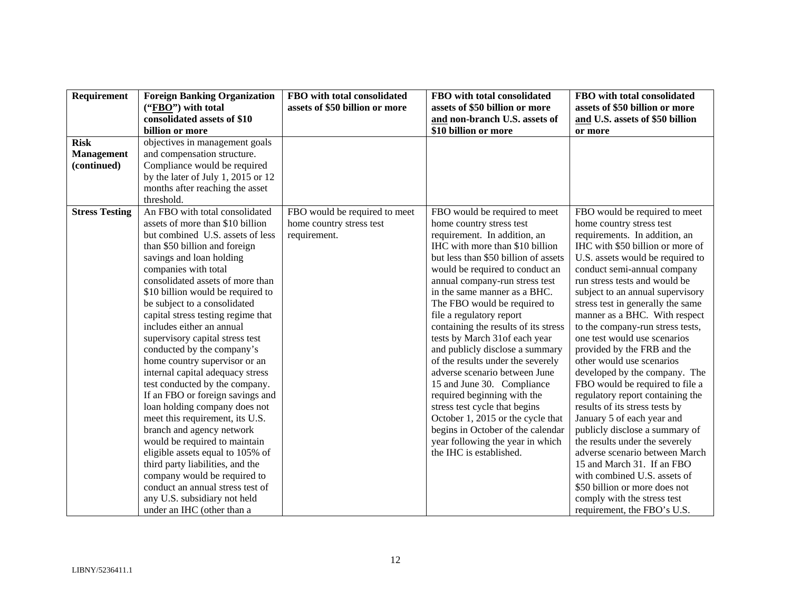| Requirement           | <b>Foreign Banking Organization</b> | FBO with total consolidated    | FBO with total consolidated          | FBO with total consolidated       |
|-----------------------|-------------------------------------|--------------------------------|--------------------------------------|-----------------------------------|
|                       | $("FBO")$ with total                | assets of \$50 billion or more | assets of \$50 billion or more       | assets of \$50 billion or more    |
|                       | consolidated assets of \$10         |                                | and non-branch U.S. assets of        | and U.S. assets of \$50 billion   |
|                       | billion or more                     |                                | \$10 billion or more                 | or more                           |
| <b>Risk</b>           | objectives in management goals      |                                |                                      |                                   |
| <b>Management</b>     | and compensation structure.         |                                |                                      |                                   |
| (continued)           | Compliance would be required        |                                |                                      |                                   |
|                       | by the later of July 1, 2015 or 12  |                                |                                      |                                   |
|                       | months after reaching the asset     |                                |                                      |                                   |
|                       | threshold.                          |                                |                                      |                                   |
| <b>Stress Testing</b> | An FBO with total consolidated      | FBO would be required to meet  | FBO would be required to meet        | FBO would be required to meet     |
|                       | assets of more than \$10 billion    | home country stress test       | home country stress test             | home country stress test          |
|                       | but combined U.S. assets of less    | requirement.                   | requirement. In addition, an         | requirements. In addition, an     |
|                       | than \$50 billion and foreign       |                                | IHC with more than \$10 billion      | IHC with \$50 billion or more of  |
|                       | savings and loan holding            |                                | but less than \$50 billion of assets | U.S. assets would be required to  |
|                       | companies with total                |                                | would be required to conduct an      | conduct semi-annual company       |
|                       | consolidated assets of more than    |                                | annual company-run stress test       | run stress tests and would be     |
|                       | \$10 billion would be required to   |                                | in the same manner as a BHC.         | subject to an annual supervisory  |
|                       | be subject to a consolidated        |                                | The FBO would be required to         | stress test in generally the same |
|                       | capital stress testing regime that  |                                | file a regulatory report             | manner as a BHC. With respect     |
|                       | includes either an annual           |                                | containing the results of its stress | to the company-run stress tests,  |
|                       | supervisory capital stress test     |                                | tests by March 31of each year        | one test would use scenarios      |
|                       | conducted by the company's          |                                | and publicly disclose a summary      | provided by the FRB and the       |
|                       | home country supervisor or an       |                                | of the results under the severely    | other would use scenarios         |
|                       | internal capital adequacy stress    |                                | adverse scenario between June        | developed by the company. The     |
|                       | test conducted by the company.      |                                | 15 and June 30. Compliance           | FBO would be required to file a   |
|                       | If an FBO or foreign savings and    |                                | required beginning with the          | regulatory report containing the  |
|                       | loan holding company does not       |                                | stress test cycle that begins        | results of its stress tests by    |
|                       | meet this requirement, its U.S.     |                                | October 1, 2015 or the cycle that    | January 5 of each year and        |
|                       | branch and agency network           |                                | begins in October of the calendar    | publicly disclose a summary of    |
|                       | would be required to maintain       |                                | year following the year in which     | the results under the severely    |
|                       | eligible assets equal to 105% of    |                                | the IHC is established.              | adverse scenario between March    |
|                       | third party liabilities, and the    |                                |                                      | 15 and March 31. If an FBO        |
|                       | company would be required to        |                                |                                      | with combined U.S. assets of      |
|                       | conduct an annual stress test of    |                                |                                      | \$50 billion or more does not     |
|                       | any U.S. subsidiary not held        |                                |                                      | comply with the stress test       |
|                       | under an IHC (other than a          |                                |                                      | requirement, the FBO's U.S.       |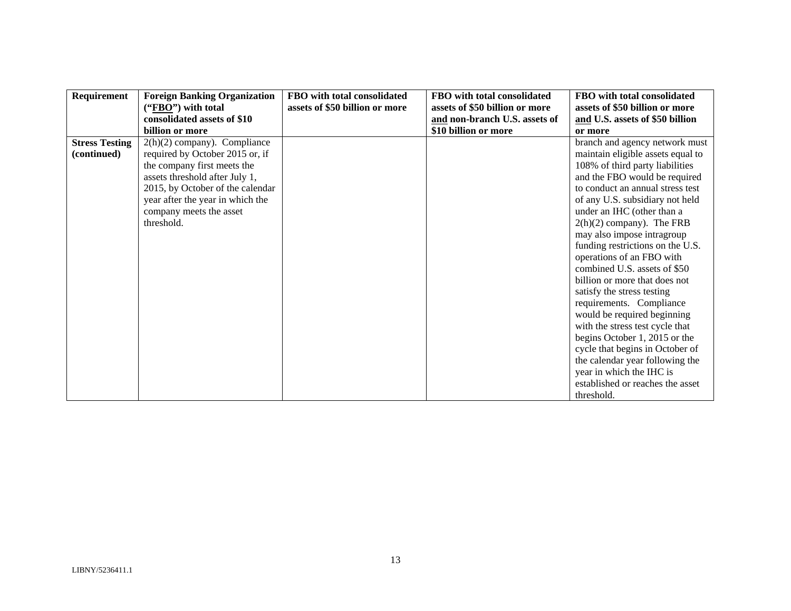| Requirement           | <b>Foreign Banking Organization</b> | FBO with total consolidated    | FBO with total consolidated    | FBO with total consolidated       |
|-----------------------|-------------------------------------|--------------------------------|--------------------------------|-----------------------------------|
|                       | $("FBO")$ with total                | assets of \$50 billion or more | assets of \$50 billion or more | assets of \$50 billion or more    |
|                       | consolidated assets of \$10         |                                | and non-branch U.S. assets of  | and U.S. assets of \$50 billion   |
|                       | billion or more                     |                                | \$10 billion or more           | or more                           |
| <b>Stress Testing</b> | $2(h)(2)$ company). Compliance      |                                |                                | branch and agency network must    |
| (continued)           | required by October 2015 or, if     |                                |                                | maintain eligible assets equal to |
|                       | the company first meets the         |                                |                                | 108% of third party liabilities   |
|                       | assets threshold after July 1,      |                                |                                | and the FBO would be required     |
|                       | 2015, by October of the calendar    |                                |                                | to conduct an annual stress test  |
|                       | year after the year in which the    |                                |                                | of any U.S. subsidiary not held   |
|                       | company meets the asset             |                                |                                | under an IHC (other than a        |
|                       | threshold.                          |                                |                                | $2(h)(2)$ company). The FRB       |
|                       |                                     |                                |                                | may also impose intragroup        |
|                       |                                     |                                |                                | funding restrictions on the U.S.  |
|                       |                                     |                                |                                | operations of an FBO with         |
|                       |                                     |                                |                                | combined U.S. assets of \$50      |
|                       |                                     |                                |                                | billion or more that does not     |
|                       |                                     |                                |                                | satisfy the stress testing        |
|                       |                                     |                                |                                | requirements. Compliance          |
|                       |                                     |                                |                                | would be required beginning       |
|                       |                                     |                                |                                | with the stress test cycle that   |
|                       |                                     |                                |                                | begins October 1, 2015 or the     |
|                       |                                     |                                |                                | cycle that begins in October of   |
|                       |                                     |                                |                                | the calendar year following the   |
|                       |                                     |                                |                                | year in which the IHC is          |
|                       |                                     |                                |                                | established or reaches the asset  |
|                       |                                     |                                |                                | threshold.                        |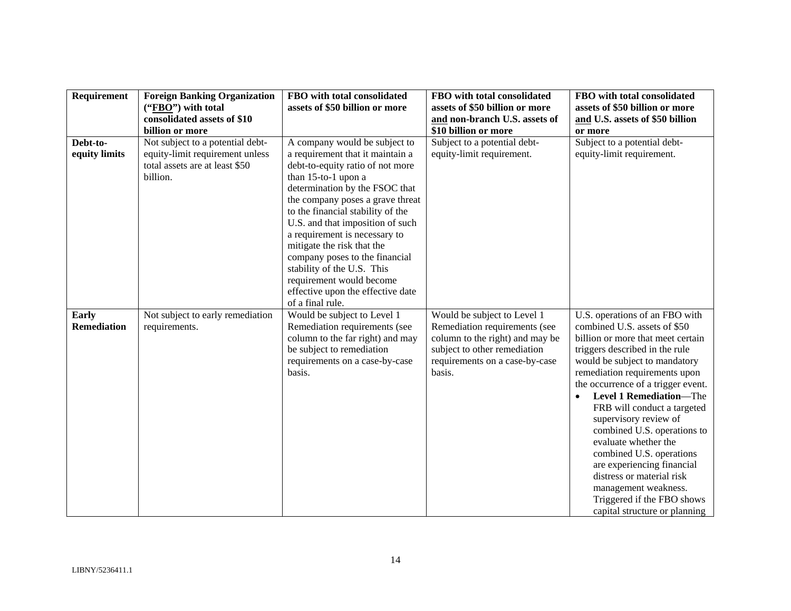| Requirement        | <b>Foreign Banking Organization</b> | FBO with total consolidated       | FBO with total consolidated     | FBO with total consolidated                         |
|--------------------|-------------------------------------|-----------------------------------|---------------------------------|-----------------------------------------------------|
|                    | ("FBO") with total                  | assets of \$50 billion or more    | assets of \$50 billion or more  | assets of \$50 billion or more                      |
|                    | consolidated assets of \$10         |                                   | and non-branch U.S. assets of   | and U.S. assets of \$50 billion                     |
|                    | billion or more                     |                                   | \$10 billion or more            | or more                                             |
| Debt-to-           | Not subject to a potential debt-    | A company would be subject to     | Subject to a potential debt-    | Subject to a potential debt-                        |
| equity limits      | equity-limit requirement unless     | a requirement that it maintain a  | equity-limit requirement.       | equity-limit requirement.                           |
|                    | total assets are at least \$50      | debt-to-equity ratio of not more  |                                 |                                                     |
|                    | billion.                            | than 15-to-1 upon a               |                                 |                                                     |
|                    |                                     | determination by the FSOC that    |                                 |                                                     |
|                    |                                     | the company poses a grave threat  |                                 |                                                     |
|                    |                                     | to the financial stability of the |                                 |                                                     |
|                    |                                     | U.S. and that imposition of such  |                                 |                                                     |
|                    |                                     | a requirement is necessary to     |                                 |                                                     |
|                    |                                     | mitigate the risk that the        |                                 |                                                     |
|                    |                                     | company poses to the financial    |                                 |                                                     |
|                    |                                     | stability of the U.S. This        |                                 |                                                     |
|                    |                                     | requirement would become          |                                 |                                                     |
|                    |                                     | effective upon the effective date |                                 |                                                     |
|                    |                                     | of a final rule.                  |                                 |                                                     |
| <b>Early</b>       | Not subject to early remediation    | Would be subject to Level 1       | Would be subject to Level 1     | U.S. operations of an FBO with                      |
| <b>Remediation</b> | requirements.                       | Remediation requirements (see     | Remediation requirements (see   | combined U.S. assets of \$50                        |
|                    |                                     | column to the far right) and may  | column to the right) and may be | billion or more that meet certain                   |
|                    |                                     | be subject to remediation         | subject to other remediation    | triggers described in the rule                      |
|                    |                                     | requirements on a case-by-case    | requirements on a case-by-case  | would be subject to mandatory                       |
|                    |                                     | basis.                            | basis.                          | remediation requirements upon                       |
|                    |                                     |                                   |                                 | the occurrence of a trigger event.                  |
|                    |                                     |                                   |                                 | Level 1 Remediation-The                             |
|                    |                                     |                                   |                                 | FRB will conduct a targeted                         |
|                    |                                     |                                   |                                 | supervisory review of                               |
|                    |                                     |                                   |                                 | combined U.S. operations to<br>evaluate whether the |
|                    |                                     |                                   |                                 | combined U.S. operations                            |
|                    |                                     |                                   |                                 | are experiencing financial                          |
|                    |                                     |                                   |                                 | distress or material risk                           |
|                    |                                     |                                   |                                 |                                                     |
|                    |                                     |                                   |                                 | management weakness.                                |
|                    |                                     |                                   |                                 | Triggered if the FBO shows                          |
|                    |                                     |                                   |                                 | capital structure or planning                       |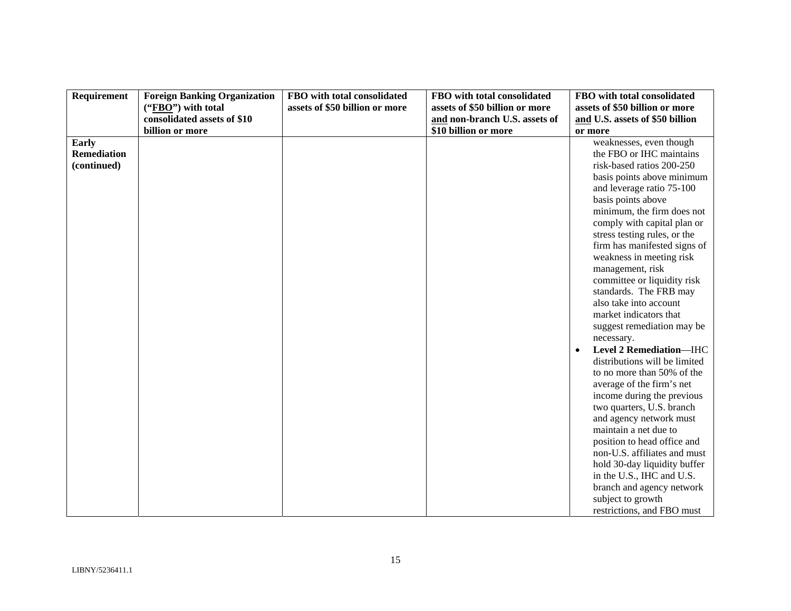| Requirement        | <b>Foreign Banking Organization</b> | FBO with total consolidated    | FBO with total consolidated    | FBO with total consolidated     |
|--------------------|-------------------------------------|--------------------------------|--------------------------------|---------------------------------|
|                    | ("FBO") with total                  | assets of \$50 billion or more | assets of \$50 billion or more | assets of \$50 billion or more  |
|                    | consolidated assets of \$10         |                                | and non-branch U.S. assets of  | and U.S. assets of \$50 billion |
|                    | billion or more                     |                                | \$10 billion or more           | or more                         |
| Early              |                                     |                                |                                | weaknesses, even though         |
| <b>Remediation</b> |                                     |                                |                                | the FBO or IHC maintains        |
| (continued)        |                                     |                                |                                | risk-based ratios 200-250       |
|                    |                                     |                                |                                | basis points above minimum      |
|                    |                                     |                                |                                | and leverage ratio 75-100       |
|                    |                                     |                                |                                | basis points above              |
|                    |                                     |                                |                                | minimum, the firm does not      |
|                    |                                     |                                |                                | comply with capital plan or     |
|                    |                                     |                                |                                | stress testing rules, or the    |
|                    |                                     |                                |                                | firm has manifested signs of    |
|                    |                                     |                                |                                | weakness in meeting risk        |
|                    |                                     |                                |                                | management, risk                |
|                    |                                     |                                |                                | committee or liquidity risk     |
|                    |                                     |                                |                                | standards. The FRB may          |
|                    |                                     |                                |                                | also take into account          |
|                    |                                     |                                |                                | market indicators that          |
|                    |                                     |                                |                                | suggest remediation may be      |
|                    |                                     |                                |                                | necessary.                      |
|                    |                                     |                                |                                | Level 2 Remediation-IHC         |
|                    |                                     |                                |                                | distributions will be limited   |
|                    |                                     |                                |                                | to no more than 50% of the      |
|                    |                                     |                                |                                | average of the firm's net       |
|                    |                                     |                                |                                | income during the previous      |
|                    |                                     |                                |                                | two quarters, U.S. branch       |
|                    |                                     |                                |                                | and agency network must         |
|                    |                                     |                                |                                | maintain a net due to           |
|                    |                                     |                                |                                | position to head office and     |
|                    |                                     |                                |                                | non-U.S. affiliates and must    |
|                    |                                     |                                |                                | hold 30-day liquidity buffer    |
|                    |                                     |                                |                                | in the U.S., IHC and U.S.       |
|                    |                                     |                                |                                | branch and agency network       |
|                    |                                     |                                |                                | subject to growth               |
|                    |                                     |                                |                                | restrictions, and FBO must      |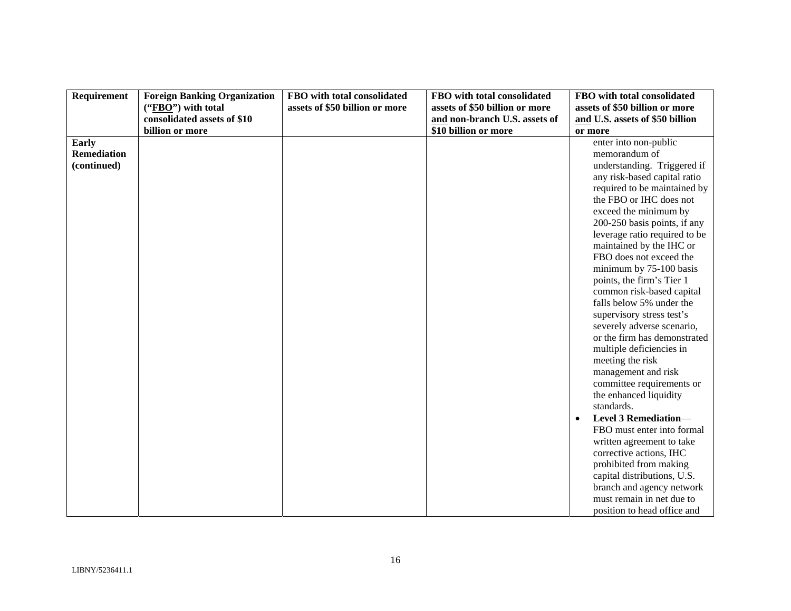| Requirement        | <b>Foreign Banking Organization</b> | FBO with total consolidated    | FBO with total consolidated    | FBO with total consolidated     |
|--------------------|-------------------------------------|--------------------------------|--------------------------------|---------------------------------|
|                    | ("FBO") with total                  | assets of \$50 billion or more | assets of \$50 billion or more | assets of \$50 billion or more  |
|                    | consolidated assets of \$10         |                                | and non-branch U.S. assets of  | and U.S. assets of \$50 billion |
|                    | billion or more                     |                                | \$10 billion or more           | or more                         |
| <b>Early</b>       |                                     |                                |                                | enter into non-public           |
| <b>Remediation</b> |                                     |                                |                                | memorandum of                   |
| (continued)        |                                     |                                |                                | understanding. Triggered if     |
|                    |                                     |                                |                                | any risk-based capital ratio    |
|                    |                                     |                                |                                | required to be maintained by    |
|                    |                                     |                                |                                | the FBO or IHC does not         |
|                    |                                     |                                |                                | exceed the minimum by           |
|                    |                                     |                                |                                | 200-250 basis points, if any    |
|                    |                                     |                                |                                | leverage ratio required to be   |
|                    |                                     |                                |                                | maintained by the IHC or        |
|                    |                                     |                                |                                | FBO does not exceed the         |
|                    |                                     |                                |                                | minimum by 75-100 basis         |
|                    |                                     |                                |                                | points, the firm's Tier 1       |
|                    |                                     |                                |                                | common risk-based capital       |
|                    |                                     |                                |                                | falls below 5% under the        |
|                    |                                     |                                |                                | supervisory stress test's       |
|                    |                                     |                                |                                | severely adverse scenario,      |
|                    |                                     |                                |                                | or the firm has demonstrated    |
|                    |                                     |                                |                                | multiple deficiencies in        |
|                    |                                     |                                |                                | meeting the risk                |
|                    |                                     |                                |                                | management and risk             |
|                    |                                     |                                |                                | committee requirements or       |
|                    |                                     |                                |                                | the enhanced liquidity          |
|                    |                                     |                                |                                | standards.                      |
|                    |                                     |                                |                                | <b>Level 3 Remediation-</b>     |
|                    |                                     |                                |                                | FBO must enter into formal      |
|                    |                                     |                                |                                | written agreement to take       |
|                    |                                     |                                |                                | corrective actions, IHC         |
|                    |                                     |                                |                                | prohibited from making          |
|                    |                                     |                                |                                | capital distributions, U.S.     |
|                    |                                     |                                |                                | branch and agency network       |
|                    |                                     |                                |                                | must remain in net due to       |
|                    |                                     |                                |                                | position to head office and     |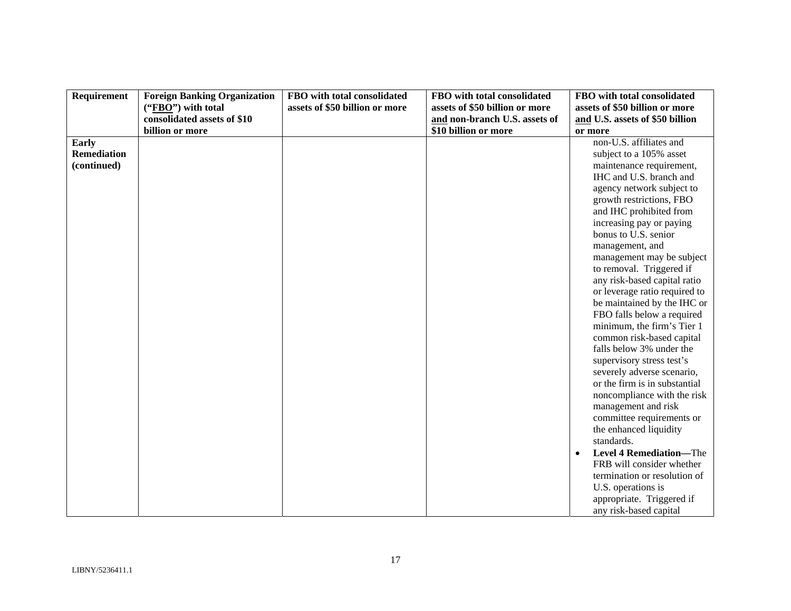| Requirement        | <b>Foreign Banking Organization</b> | FBO with total consolidated    | FBO with total consolidated    | FBO with total consolidated     |
|--------------------|-------------------------------------|--------------------------------|--------------------------------|---------------------------------|
|                    | ("FBO") with total                  | assets of \$50 billion or more | assets of \$50 billion or more | assets of \$50 billion or more  |
|                    | consolidated assets of \$10         |                                | and non-branch U.S. assets of  | and U.S. assets of \$50 billion |
|                    | billion or more                     |                                | \$10 billion or more           | or more                         |
| <b>Early</b>       |                                     |                                |                                | non-U.S. affiliates and         |
| <b>Remediation</b> |                                     |                                |                                | subject to a 105% asset         |
| (continued)        |                                     |                                |                                | maintenance requirement,        |
|                    |                                     |                                |                                | IHC and U.S. branch and         |
|                    |                                     |                                |                                | agency network subject to       |
|                    |                                     |                                |                                | growth restrictions, FBO        |
|                    |                                     |                                |                                | and IHC prohibited from         |
|                    |                                     |                                |                                | increasing pay or paying        |
|                    |                                     |                                |                                | bonus to U.S. senior            |
|                    |                                     |                                |                                | management, and                 |
|                    |                                     |                                |                                | management may be subject       |
|                    |                                     |                                |                                | to removal. Triggered if        |
|                    |                                     |                                |                                | any risk-based capital ratio    |
|                    |                                     |                                |                                | or leverage ratio required to   |
|                    |                                     |                                |                                | be maintained by the IHC or     |
|                    |                                     |                                |                                | FBO falls below a required      |
|                    |                                     |                                |                                | minimum, the firm's Tier 1      |
|                    |                                     |                                |                                | common risk-based capital       |
|                    |                                     |                                |                                | falls below 3% under the        |
|                    |                                     |                                |                                | supervisory stress test's       |
|                    |                                     |                                |                                | severely adverse scenario,      |
|                    |                                     |                                |                                | or the firm is in substantial   |
|                    |                                     |                                |                                | noncompliance with the risk     |
|                    |                                     |                                |                                | management and risk             |
|                    |                                     |                                |                                | committee requirements or       |
|                    |                                     |                                |                                | the enhanced liquidity          |
|                    |                                     |                                |                                | standards.                      |
|                    |                                     |                                |                                | <b>Level 4 Remediation-The</b>  |
|                    |                                     |                                |                                | FRB will consider whether       |
|                    |                                     |                                |                                | termination or resolution of    |
|                    |                                     |                                |                                | U.S. operations is              |
|                    |                                     |                                |                                | appropriate. Triggered if       |
|                    |                                     |                                |                                | any risk-based capital          |